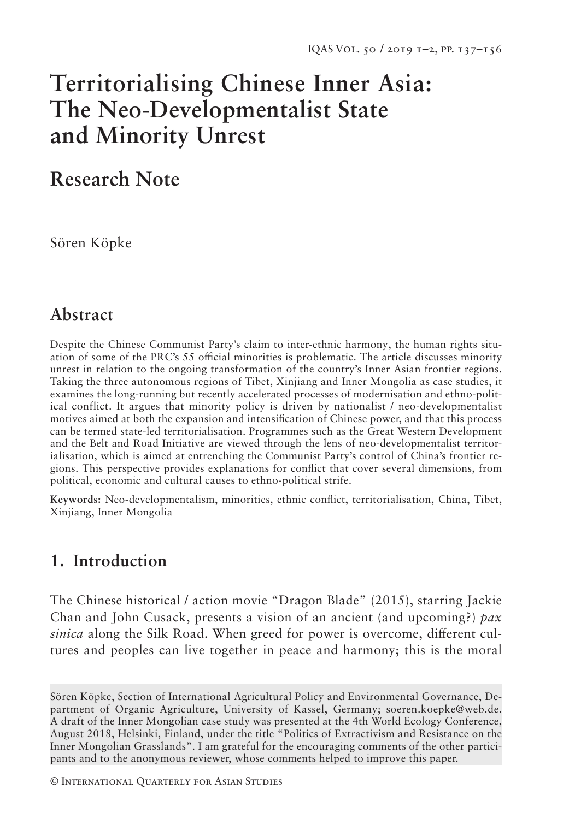# **Territorialising Chinese Inner Asia: The Neo-Developmentalist State and Minority Unrest**

# **Research Note**

Sören Köpke

### **Abstract**

Despite the Chinese Communist Party's claim to inter-ethnic harmony, the human rights situation of some of the PRC's 55 official minorities is problematic. The article discusses minority unrest in relation to the ongoing transformation of the country's Inner Asian frontier regions. Taking the three autonomous regions of Tibet, Xinjiang and Inner Mongolia as case studies, it examines the long-running but recently accelerated processes of modernisation and ethno-political conflict. It argues that minority policy is driven by nationalist / neo-developmentalist motives aimed at both the expansion and intensification of Chinese power, and that this process can be termed state-led territorialisation. Programmes such as the Great Western Development and the Belt and Road Initiative are viewed through the lens of neo-developmentalist territorialisation, which is aimed at entrenching the Communist Party's control of China's frontier regions. This perspective provides explanations for conflict that cover several dimensions, from political, economic and cultural causes to ethno-political strife.

**Keywords:** Neo-developmentalism, minorities, ethnic conflict, territorialisation, China, Tibet, Xinjiang, Inner Mongolia

## **1. Introduction**

The Chinese historical / action movie "Dragon Blade" (2015), starring Jackie Chan and John Cusack, presents a vision of an ancient (and upcoming?) *pax sinica* along the Silk Road. When greed for power is overcome, different cultures and peoples can live together in peace and harmony; this is the moral

© International Quarterly for Asian Studies

Sören Köpke, Section of International Agricultural Policy and Environmental Governance, Department of Organic Agriculture, University of Kassel, Germany; soeren.koepke@web.de. A draft of the Inner Mongolian case study was presented at the 4th World Ecology Conference, August 2018, Helsinki, Finland, under the title "Politics of Extractivism and Resistance on the Inner Mongolian Grasslands". I am grateful for the encouraging comments of the other participants and to the anonymous reviewer, whose comments helped to improve this paper.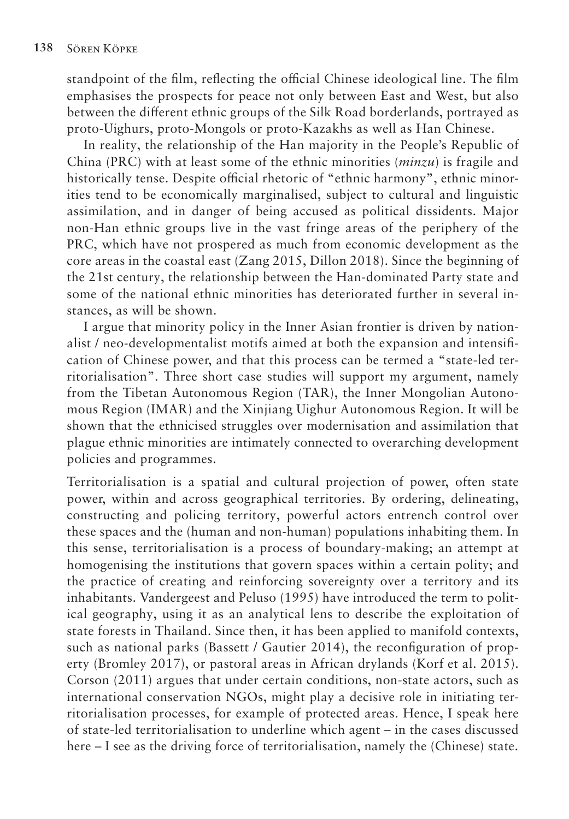standpoint of the film, reflecting the official Chinese ideological line. The film emphasises the prospects for peace not only between East and West, but also between the different ethnic groups of the Silk Road borderlands, portrayed as proto-Uighurs, proto-Mongols or proto-Kazakhs as well as Han Chinese.

In reality, the relationship of the Han majority in the People's Republic of China (PRC) with at least some of the ethnic minorities (*minzu*) is fragile and historically tense. Despite official rhetoric of "ethnic harmony", ethnic minorities tend to be economically marginalised, subject to cultural and linguistic assimilation, and in danger of being accused as political dissidents. Major non-Han ethnic groups live in the vast fringe areas of the periphery of the PRC, which have not prospered as much from economic development as the core areas in the coastal east (Zang 2015, Dillon 2018). Since the beginning of the 21st century, the relationship between the Han-dominated Party state and some of the national ethnic minorities has deteriorated further in several instances, as will be shown.

I argue that minority policy in the Inner Asian frontier is driven by nationalist / neo-developmentalist motifs aimed at both the expansion and intensification of Chinese power, and that this process can be termed a "state-led territorialisation". Three short case studies will support my argument, namely from the Tibetan Autonomous Region (TAR), the Inner Mongolian Autonomous Region (IMAR) and the Xinjiang Uighur Autonomous Region. It will be shown that the ethnicised struggles over modernisation and assimilation that plague ethnic minorities are intimately connected to overarching development policies and programmes.

Territorialisation is a spatial and cultural projection of power, often state power, within and across geographical territories. By ordering, delineating, constructing and policing territory, powerful actors entrench control over these spaces and the (human and non-human) populations inhabiting them. In this sense, territorialisation is a process of boundary-making; an attempt at homogenising the institutions that govern spaces within a certain polity; and the practice of creating and reinforcing sovereignty over a territory and its inhabitants. Vandergeest and Peluso (1995) have introduced the term to political geography, using it as an analytical lens to describe the exploitation of state forests in Thailand. Since then, it has been applied to manifold contexts, such as national parks (Bassett / Gautier 2014), the reconfiguration of property (Bromley 2017), or pastoral areas in African drylands (Korf et al. 2015). Corson (2011) argues that under certain conditions, non-state actors, such as international conservation NGOs, might play a decisive role in initiating territorialisation processes, for example of protected areas. Hence, I speak here of state-led territorialisation to underline which agent – in the cases discussed here – I see as the driving force of territorialisation, namely the (Chinese) state.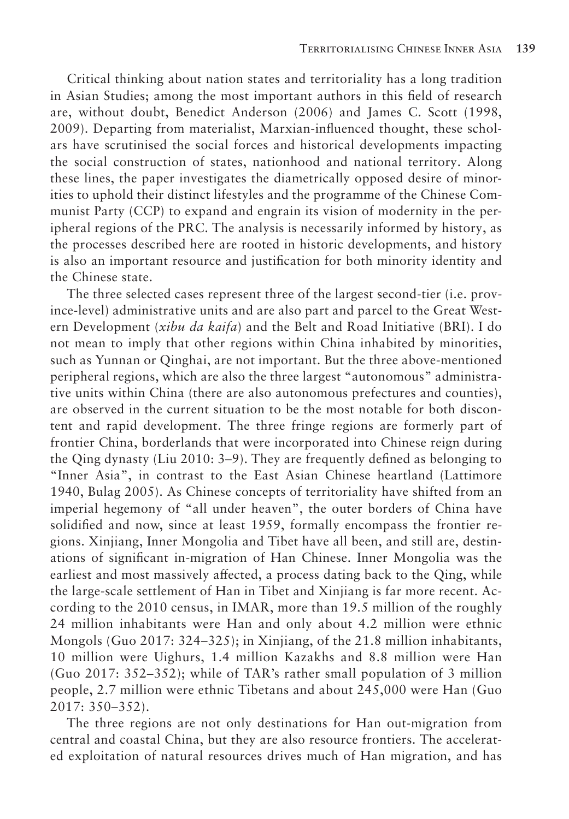Critical thinking about nation states and territoriality has a long tradition in Asian Studies; among the most important authors in this field of research are, without doubt, Benedict Anderson (2006) and James C. Scott (1998, 2009). Departing from materialist, Marxian-influenced thought, these scholars have scrutinised the social forces and historical developments impacting the social construction of states, nationhood and national territory. Along these lines, the paper investigates the diametrically opposed desire of minorities to uphold their distinct lifestyles and the programme of the Chinese Communist Party (CCP) to expand and engrain its vision of modernity in the peripheral regions of the PRC. The analysis is necessarily informed by history, as the processes described here are rooted in historic developments, and history is also an important resource and justification for both minority identity and the Chinese state.

The three selected cases represent three of the largest second-tier (i.e. province-level) administrative units and are also part and parcel to the Great Western Development (*xibu da kaifa*) and the Belt and Road Initiative (BRI). I do not mean to imply that other regions within China inhabited by minorities, such as Yunnan or Qinghai, are not important. But the three above-mentioned peripheral regions, which are also the three largest "autonomous" administrative units within China (there are also autonomous prefectures and counties), are observed in the current situation to be the most notable for both discontent and rapid development. The three fringe regions are formerly part of frontier China, borderlands that were incorporated into Chinese reign during the Qing dynasty (Liu 2010: 3–9). They are frequently defined as belonging to "Inner Asia", in contrast to the East Asian Chinese heartland (Lattimore 1940, Bulag 2005). As Chinese concepts of territoriality have shifted from an imperial hegemony of "all under heaven", the outer borders of China have solidified and now, since at least 1959, formally encompass the frontier regions. Xinjiang, Inner Mongolia and Tibet have all been, and still are, destinations of significant in-migration of Han Chinese. Inner Mongolia was the earliest and most massively affected, a process dating back to the Qing, while the large-scale settlement of Han in Tibet and Xinjiang is far more recent. According to the 2010 census, in IMAR, more than 19.5 million of the roughly 24 million inhabitants were Han and only about 4.2 million were ethnic Mongols (Guo 2017: 324–325); in Xinjiang, of the 21.8 million inhabitants, 10 million were Uighurs, 1.4 million Kazakhs and 8.8 million were Han (Guo 2017: 352–352); while of TAR's rather small population of 3 million people, 2.7 million were ethnic Tibetans and about 245,000 were Han (Guo 2017: 350–352).

The three regions are not only destinations for Han out-migration from central and coastal China, but they are also resource frontiers. The accelerated exploitation of natural resources drives much of Han migration, and has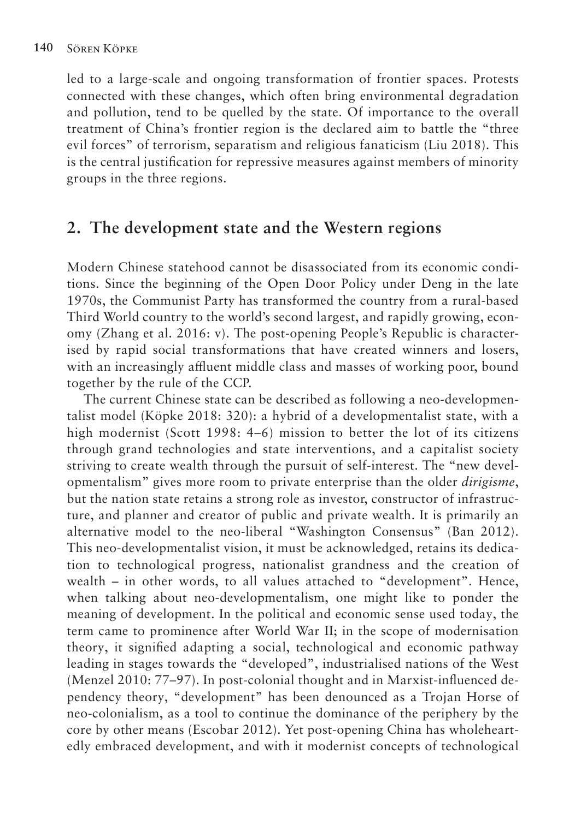led to a large-scale and ongoing transformation of frontier spaces. Protests connected with these changes, which often bring environmental degradation and pollution, tend to be quelled by the state. Of importance to the overall treatment of China's frontier region is the declared aim to battle the "three evil forces" of terrorism, separatism and religious fanaticism (Liu 2018). This is the central justification for repressive measures against members of minority groups in the three regions.

### **2. The development state and the Western regions**

Modern Chinese statehood cannot be disassociated from its economic conditions. Since the beginning of the Open Door Policy under Deng in the late 1970s, the Communist Party has transformed the country from a rural-based Third World country to the world's second largest, and rapidly growing, economy (Zhang et al. 2016: v). The post-opening People's Republic is characterised by rapid social transformations that have created winners and losers, with an increasingly affluent middle class and masses of working poor, bound together by the rule of the CCP.

The current Chinese state can be described as following a neo-developmentalist model (Köpke 2018: 320): a hybrid of a developmentalist state, with a high modernist (Scott 1998: 4–6) mission to better the lot of its citizens through grand technologies and state interventions, and a capitalist society striving to create wealth through the pursuit of self-interest. The "new developmentalism" gives more room to private enterprise than the older *dirigisme*, but the nation state retains a strong role as investor, constructor of infrastructure, and planner and creator of public and private wealth. It is primarily an alternative model to the neo-liberal "Washington Consensus" (Ban 2012). This neo-developmentalist vision, it must be acknowledged, retains its dedication to technological progress, nationalist grandness and the creation of wealth – in other words, to all values attached to "development". Hence, when talking about neo-developmentalism, one might like to ponder the meaning of development. In the political and economic sense used today, the term came to prominence after World War II; in the scope of modernisation theory, it signified adapting a social, technological and economic pathway leading in stages towards the "developed", industrialised nations of the West (Menzel 2010: 77–97). In post-colonial thought and in Marxist-influenced dependency theory, "development" has been denounced as a Trojan Horse of neo-colonialism, as a tool to continue the dominance of the periphery by the core by other means (Escobar 2012). Yet post-opening China has wholeheartedly embraced development, and with it modernist concepts of technological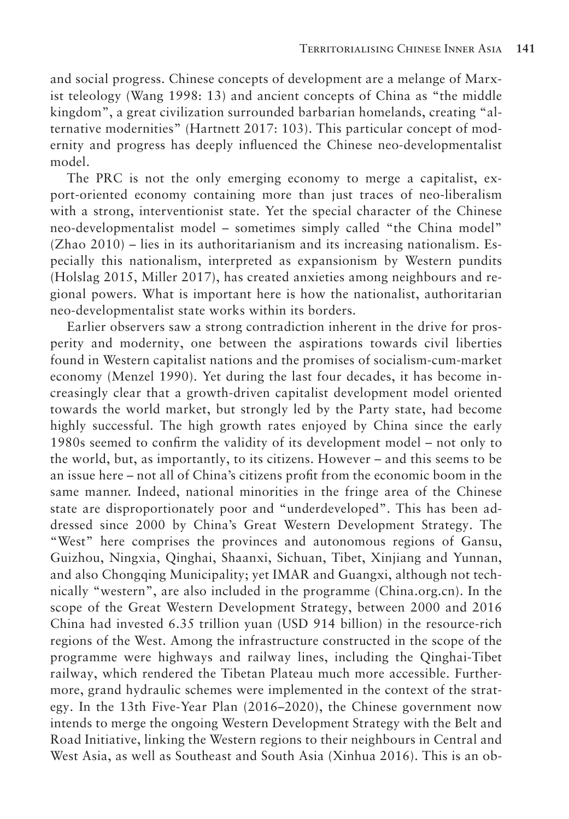and social progress. Chinese concepts of development are a melange of Marxist teleology (Wang 1998: 13) and ancient concepts of China as "the middle kingdom", a great civilization surrounded barbarian homelands, creating "alternative modernities" (Hartnett 2017: 103). This particular concept of modernity and progress has deeply influenced the Chinese neo-developmentalist model.

The PRC is not the only emerging economy to merge a capitalist, export-oriented economy containing more than just traces of neo-liberalism with a strong, interventionist state. Yet the special character of the Chinese neo-developmentalist model – sometimes simply called "the China model" (Zhao 2010) – lies in its authoritarianism and its increasing nationalism. Especially this nationalism, interpreted as expansionism by Western pundits (Holslag 2015, Miller 2017), has created anxieties among neighbours and regional powers. What is important here is how the nationalist, authoritarian neo-developmentalist state works within its borders.

Earlier observers saw a strong contradiction inherent in the drive for prosperity and modernity, one between the aspirations towards civil liberties found in Western capitalist nations and the promises of socialism-cum-market economy (Menzel 1990). Yet during the last four decades, it has become increasingly clear that a growth-driven capitalist development model oriented towards the world market, but strongly led by the Party state, had become highly successful. The high growth rates enjoyed by China since the early 1980s seemed to confirm the validity of its development model – not only to the world, but, as importantly, to its citizens. However – and this seems to be an issue here – not all of China's citizens profit from the economic boom in the same manner. Indeed, national minorities in the fringe area of the Chinese state are disproportionately poor and "underdeveloped". This has been addressed since 2000 by China's Great Western Development Strategy. The "West" here comprises the provinces and autonomous regions of Gansu, Guizhou, Ningxia, Qinghai, Shaanxi, Sichuan, Tibet, Xinjiang and Yunnan, and also Chongqing Municipality; yet IMAR and Guangxi, although not technically "western", are also included in the programme (China.org.cn). In the scope of the Great Western Development Strategy, between 2000 and 2016 China had invested 6.35 trillion yuan (USD 914 billion) in the resource-rich regions of the West. Among the infrastructure constructed in the scope of the programme were highways and railway lines, including the Qinghai-Tibet railway, which rendered the Tibetan Plateau much more accessible. Furthermore, grand hydraulic schemes were implemented in the context of the strategy. In the 13th Five-Year Plan (2016–2020), the Chinese government now intends to merge the ongoing Western Development Strategy with the Belt and Road Initiative, linking the Western regions to their neighbours in Central and West Asia, as well as Southeast and South Asia (Xinhua 2016). This is an ob-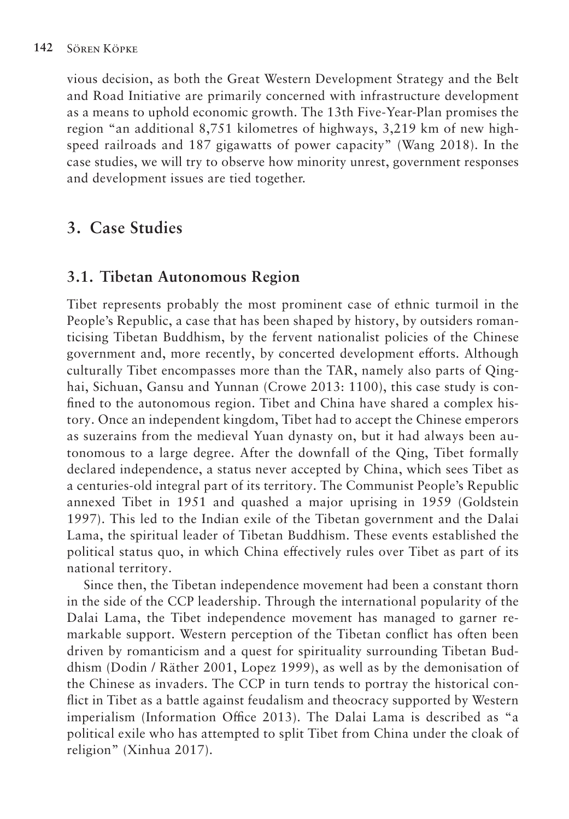vious decision, as both the Great Western Development Strategy and the Belt and Road Initiative are primarily concerned with infrastructure development as a means to uphold economic growth. The 13th Five-Year-Plan promises the region "an additional 8,751 kilometres of highways, 3,219 km of new highspeed railroads and 187 gigawatts of power capacity" (Wang 2018). In the case studies, we will try to observe how minority unrest, government responses and development issues are tied together.

## **3. Case Studies**

### **3.1. Tibetan Autonomous Region**

Tibet represents probably the most prominent case of ethnic turmoil in the People's Republic, a case that has been shaped by history, by outsiders romanticising Tibetan Buddhism, by the fervent nationalist policies of the Chinese government and, more recently, by concerted development efforts. Although culturally Tibet encompasses more than the TAR, namely also parts of Qinghai, Sichuan, Gansu and Yunnan (Crowe 2013: 1100), this case study is confined to the autonomous region. Tibet and China have shared a complex history. Once an independent kingdom, Tibet had to accept the Chinese emperors as suzerains from the medieval Yuan dynasty on, but it had always been autonomous to a large degree. After the downfall of the Qing, Tibet formally declared independence, a status never accepted by China, which sees Tibet as a centuries-old integral part of its territory. The Communist People's Republic annexed Tibet in 1951 and quashed a major uprising in 1959 (Goldstein 1997). This led to the Indian exile of the Tibetan government and the Dalai Lama, the spiritual leader of Tibetan Buddhism. These events established the political status quo, in which China effectively rules over Tibet as part of its national territory.

Since then, the Tibetan independence movement had been a constant thorn in the side of the CCP leadership. Through the international popularity of the Dalai Lama, the Tibet independence movement has managed to garner remarkable support. Western perception of the Tibetan conflict has often been driven by romanticism and a quest for spirituality surrounding Tibetan Buddhism (Dodin / Räther 2001, Lopez 1999), as well as by the demonisation of the Chinese as invaders. The CCP in turn tends to portray the historical conflict in Tibet as a battle against feudalism and theocracy supported by Western imperialism (Information Office 2013). The Dalai Lama is described as "a political exile who has attempted to split Tibet from China under the cloak of religion" (Xinhua 2017).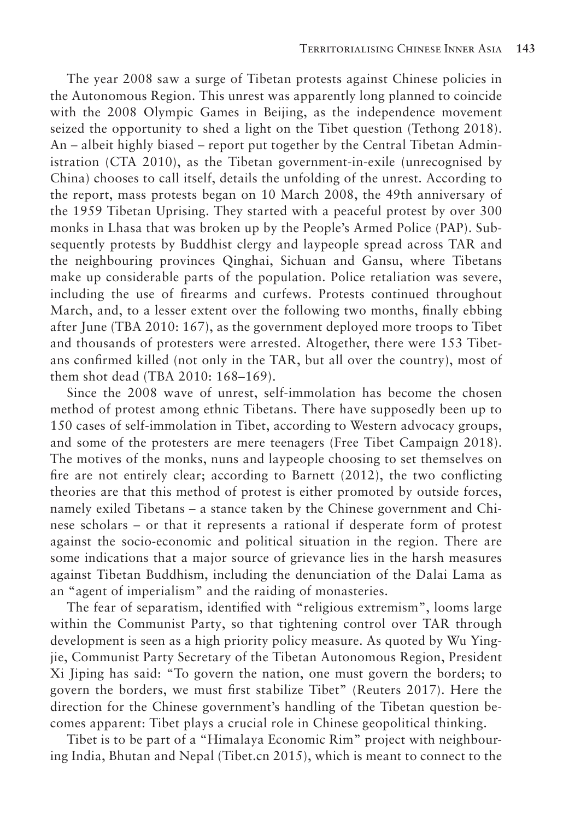The year 2008 saw a surge of Tibetan protests against Chinese policies in the Autonomous Region. This unrest was apparently long planned to coincide with the 2008 Olympic Games in Beijing, as the independence movement seized the opportunity to shed a light on the Tibet question (Tethong 2018). An – albeit highly biased – report put together by the Central Tibetan Administration (CTA 2010), as the Tibetan government-in-exile (unrecognised by China) chooses to call itself, details the unfolding of the unrest. According to the report, mass protests began on 10 March 2008, the 49th anniversary of the 1959 Tibetan Uprising. They started with a peaceful protest by over 300 monks in Lhasa that was broken up by the People's Armed Police (PAP). Subsequently protests by Buddhist clergy and laypeople spread across TAR and the neighbouring provinces Qinghai, Sichuan and Gansu, where Tibetans make up considerable parts of the population. Police retaliation was severe, including the use of firearms and curfews. Protests continued throughout March, and, to a lesser extent over the following two months, finally ebbing after June (TBA 2010: 167), as the government deployed more troops to Tibet and thousands of protesters were arrested. Altogether, there were 153 Tibetans confirmed killed (not only in the TAR, but all over the country), most of them shot dead (TBA 2010: 168–169).

Since the 2008 wave of unrest, self-immolation has become the chosen method of protest among ethnic Tibetans. There have supposedly been up to 150 cases of self-immolation in Tibet, according to Western advocacy groups, and some of the protesters are mere teenagers (Free Tibet Campaign 2018). The motives of the monks, nuns and laypeople choosing to set themselves on fire are not entirely clear; according to Barnett (2012), the two conflicting theories are that this method of protest is either promoted by outside forces, namely exiled Tibetans – a stance taken by the Chinese government and Chinese scholars – or that it represents a rational if desperate form of protest against the socio-economic and political situation in the region. There are some indications that a major source of grievance lies in the harsh measures against Tibetan Buddhism, including the denunciation of the Dalai Lama as an "agent of imperialism" and the raiding of monasteries.

The fear of separatism, identified with "religious extremism", looms large within the Communist Party, so that tightening control over TAR through development is seen as a high priority policy measure. As quoted by Wu Yingjie, Communist Party Secretary of the Tibetan Autonomous Region, President Xi Jiping has said: "To govern the nation, one must govern the borders; to govern the borders, we must first stabilize Tibet" (Reuters 2017). Here the direction for the Chinese government's handling of the Tibetan question becomes apparent: Tibet plays a crucial role in Chinese geopolitical thinking.

Tibet is to be part of a "Himalaya Economic Rim" project with neighbouring India, Bhutan and Nepal (Tibet.cn 2015), which is meant to connect to the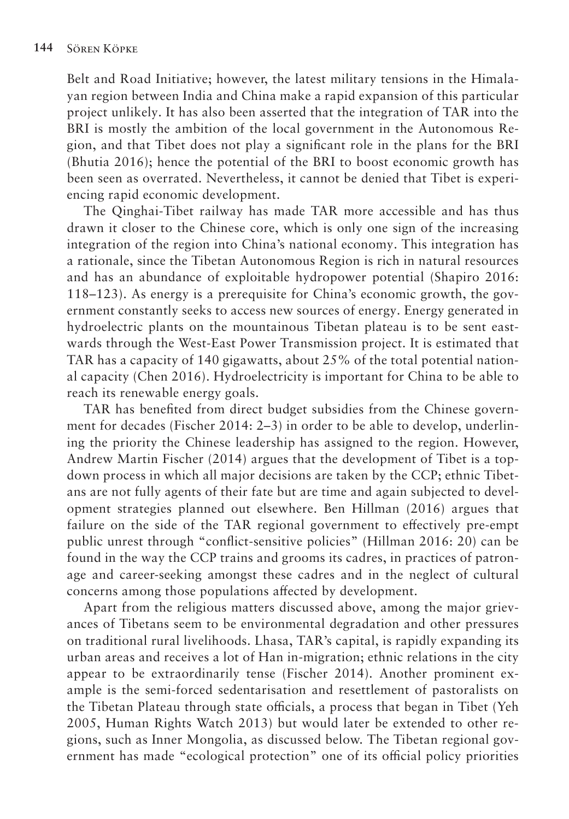Belt and Road Initiative; however, the latest military tensions in the Himalayan region between India and China make a rapid expansion of this particular project unlikely. It has also been asserted that the integration of TAR into the BRI is mostly the ambition of the local government in the Autonomous Region, and that Tibet does not play a significant role in the plans for the BRI (Bhutia 2016); hence the potential of the BRI to boost economic growth has been seen as overrated. Nevertheless, it cannot be denied that Tibet is experiencing rapid economic development.

The Qinghai-Tibet railway has made TAR more accessible and has thus drawn it closer to the Chinese core, which is only one sign of the increasing integration of the region into China's national economy. This integration has a rationale, since the Tibetan Autonomous Region is rich in natural resources and has an abundance of exploitable hydropower potential (Shapiro 2016: 118–123). As energy is a prerequisite for China's economic growth, the government constantly seeks to access new sources of energy. Energy generated in hydroelectric plants on the mountainous Tibetan plateau is to be sent eastwards through the West-East Power Transmission project. It is estimated that TAR has a capacity of 140 gigawatts, about 25% of the total potential national capacity (Chen 2016). Hydroelectricity is important for China to be able to reach its renewable energy goals.

TAR has benefited from direct budget subsidies from the Chinese government for decades (Fischer 2014: 2–3) in order to be able to develop, underlining the priority the Chinese leadership has assigned to the region. However, Andrew Martin Fischer (2014) argues that the development of Tibet is a topdown process in which all major decisions are taken by the CCP; ethnic Tibetans are not fully agents of their fate but are time and again subjected to development strategies planned out elsewhere. Ben Hillman (2016) argues that failure on the side of the TAR regional government to effectively pre-empt public unrest through "conflict-sensitive policies" (Hillman 2016: 20) can be found in the way the CCP trains and grooms its cadres, in practices of patronage and career-seeking amongst these cadres and in the neglect of cultural concerns among those populations affected by development.

Apart from the religious matters discussed above, among the major grievances of Tibetans seem to be environmental degradation and other pressures on traditional rural livelihoods. Lhasa, TAR's capital, is rapidly expanding its urban areas and receives a lot of Han in-migration; ethnic relations in the city appear to be extraordinarily tense (Fischer 2014). Another prominent example is the semi-forced sedentarisation and resettlement of pastoralists on the Tibetan Plateau through state officials, a process that began in Tibet (Yeh 2005, Human Rights Watch 2013) but would later be extended to other regions, such as Inner Mongolia, as discussed below. The Tibetan regional government has made "ecological protection" one of its official policy priorities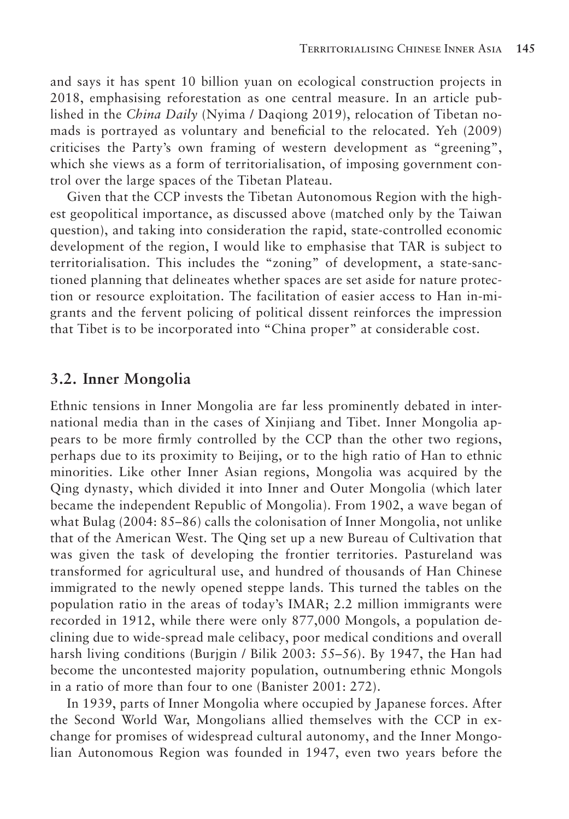and says it has spent 10 billion yuan on ecological construction projects in 2018, emphasising reforestation as one central measure. In an article published in the *China Daily* (Nyima / Daqiong 2019), relocation of Tibetan nomads is portrayed as voluntary and beneficial to the relocated. Yeh (2009) criticises the Party's own framing of western development as "greening", which she views as a form of territorialisation, of imposing government control over the large spaces of the Tibetan Plateau.

Given that the CCP invests the Tibetan Autonomous Region with the highest geopolitical importance, as discussed above (matched only by the Taiwan question), and taking into consideration the rapid, state-controlled economic development of the region, I would like to emphasise that TAR is subject to territorialisation. This includes the "zoning" of development, a state-sanctioned planning that delineates whether spaces are set aside for nature protection or resource exploitation. The facilitation of easier access to Han in-migrants and the fervent policing of political dissent reinforces the impression that Tibet is to be incorporated into "China proper" at considerable cost.

#### **3.2. Inner Mongolia**

Ethnic tensions in Inner Mongolia are far less prominently debated in international media than in the cases of Xinjiang and Tibet. Inner Mongolia appears to be more firmly controlled by the CCP than the other two regions, perhaps due to its proximity to Beijing, or to the high ratio of Han to ethnic minorities. Like other Inner Asian regions, Mongolia was acquired by the Qing dynasty, which divided it into Inner and Outer Mongolia (which later became the independent Republic of Mongolia). From 1902, a wave began of what Bulag (2004: 85–86) calls the colonisation of Inner Mongolia, not unlike that of the American West. The Qing set up a new Bureau of Cultivation that was given the task of developing the frontier territories. Pastureland was transformed for agricultural use, and hundred of thousands of Han Chinese immigrated to the newly opened steppe lands. This turned the tables on the population ratio in the areas of today's IMAR; 2.2 million immigrants were recorded in 1912, while there were only 877,000 Mongols, a population declining due to wide-spread male celibacy, poor medical conditions and overall harsh living conditions (Burjgin / Bilik 2003: 55–56). By 1947, the Han had become the uncontested majority population, outnumbering ethnic Mongols in a ratio of more than four to one (Banister 2001: 272).

In 1939, parts of Inner Mongolia where occupied by Japanese forces. After the Second World War, Mongolians allied themselves with the CCP in exchange for promises of widespread cultural autonomy, and the Inner Mongolian Autonomous Region was founded in 1947, even two years before the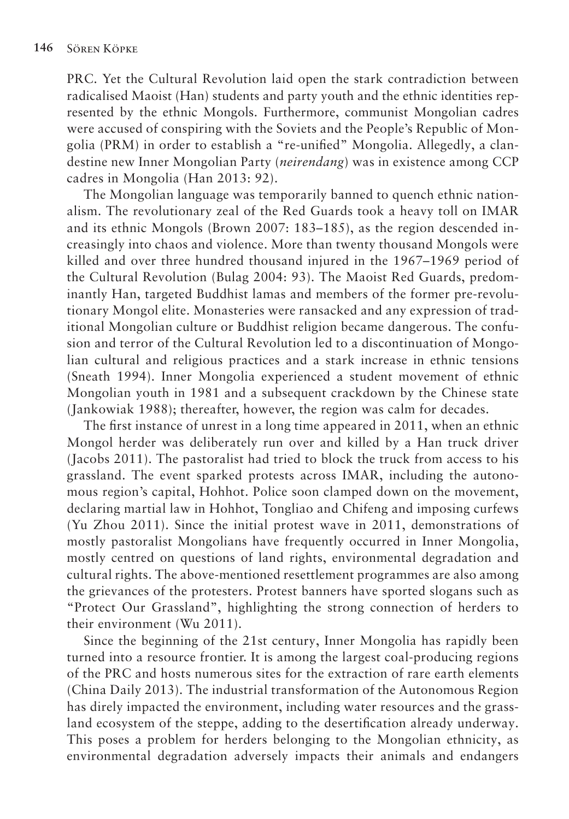PRC. Yet the Cultural Revolution laid open the stark contradiction between radicalised Maoist (Han) students and party youth and the ethnic identities represented by the ethnic Mongols. Furthermore, communist Mongolian cadres were accused of conspiring with the Soviets and the People's Republic of Mongolia (PRM) in order to establish a "re-unified" Mongolia. Allegedly, a clandestine new Inner Mongolian Party (*neirendang*) was in existence among CCP cadres in Mongolia (Han 2013: 92).

The Mongolian language was temporarily banned to quench ethnic nationalism. The revolutionary zeal of the Red Guards took a heavy toll on IMAR and its ethnic Mongols (Brown 2007: 183–185), as the region descended increasingly into chaos and violence. More than twenty thousand Mongols were killed and over three hundred thousand injured in the 1967–1969 period of the Cultural Revolution (Bulag 2004: 93). The Maoist Red Guards, predominantly Han, targeted Buddhist lamas and members of the former pre-revolutionary Mongol elite. Monasteries were ransacked and any expression of traditional Mongolian culture or Buddhist religion became dangerous. The confusion and terror of the Cultural Revolution led to a discontinuation of Mongolian cultural and religious practices and a stark increase in ethnic tensions (Sneath 1994). Inner Mongolia experienced a student movement of ethnic Mongolian youth in 1981 and a subsequent crackdown by the Chinese state (Jankowiak 1988); thereafter, however, the region was calm for decades.

The first instance of unrest in a long time appeared in 2011, when an ethnic Mongol herder was deliberately run over and killed by a Han truck driver (Jacobs 2011). The pastoralist had tried to block the truck from access to his grassland. The event sparked protests across IMAR, including the autonomous region's capital, Hohhot. Police soon clamped down on the movement, declaring martial law in Hohhot, Tongliao and Chifeng and imposing curfews (Yu Zhou 2011). Since the initial protest wave in 2011, demonstrations of mostly pastoralist Mongolians have frequently occurred in Inner Mongolia, mostly centred on questions of land rights, environmental degradation and cultural rights. The above-mentioned resettlement programmes are also among the grievances of the protesters. Protest banners have sported slogans such as "Protect Our Grassland", highlighting the strong connection of herders to their environment (Wu 2011).

Since the beginning of the 21st century, Inner Mongolia has rapidly been turned into a resource frontier. It is among the largest coal-producing regions of the PRC and hosts numerous sites for the extraction of rare earth elements (China Daily 2013). The industrial transformation of the Autonomous Region has direly impacted the environment, including water resources and the grassland ecosystem of the steppe, adding to the desertification already underway. This poses a problem for herders belonging to the Mongolian ethnicity, as environmental degradation adversely impacts their animals and endangers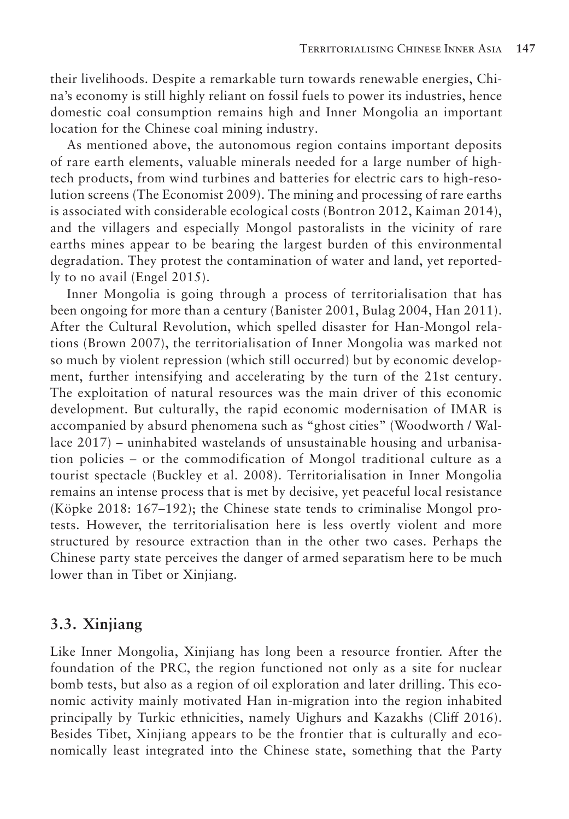their livelihoods. Despite a remarkable turn towards renewable energies, China's economy is still highly reliant on fossil fuels to power its industries, hence domestic coal consumption remains high and Inner Mongolia an important location for the Chinese coal mining industry.

As mentioned above, the autonomous region contains important deposits of rare earth elements, valuable minerals needed for a large number of hightech products, from wind turbines and batteries for electric cars to high-resolution screens (The Economist 2009). The mining and processing of rare earths is associated with considerable ecological costs (Bontron 2012, Kaiman 2014), and the villagers and especially Mongol pastoralists in the vicinity of rare earths mines appear to be bearing the largest burden of this environmental degradation. They protest the contamination of water and land, yet reportedly to no avail (Engel 2015).

Inner Mongolia is going through a process of territorialisation that has been ongoing for more than a century (Banister 2001, Bulag 2004, Han 2011). After the Cultural Revolution, which spelled disaster for Han-Mongol relations (Brown 2007), the territorialisation of Inner Mongolia was marked not so much by violent repression (which still occurred) but by economic development, further intensifying and accelerating by the turn of the 21st century. The exploitation of natural resources was the main driver of this economic development. But culturally, the rapid economic modernisation of IMAR is accompanied by absurd phenomena such as "ghost cities" (Woodworth / Wallace 2017) – uninhabited wastelands of unsustainable housing and urbanisation policies – or the commodification of Mongol traditional culture as a tourist spectacle (Buckley et al. 2008). Territorialisation in Inner Mongolia remains an intense process that is met by decisive, yet peaceful local resistance (Köpke 2018: 167–192); the Chinese state tends to criminalise Mongol protests. However, the territorialisation here is less overtly violent and more structured by resource extraction than in the other two cases. Perhaps the Chinese party state perceives the danger of armed separatism here to be much lower than in Tibet or Xinjiang.

#### **3.3. Xinjiang**

Like Inner Mongolia, Xinjiang has long been a resource frontier. After the foundation of the PRC, the region functioned not only as a site for nuclear bomb tests, but also as a region of oil exploration and later drilling. This economic activity mainly motivated Han in-migration into the region inhabited principally by Turkic ethnicities, namely Uighurs and Kazakhs (Cliff 2016). Besides Tibet, Xinjiang appears to be the frontier that is culturally and economically least integrated into the Chinese state, something that the Party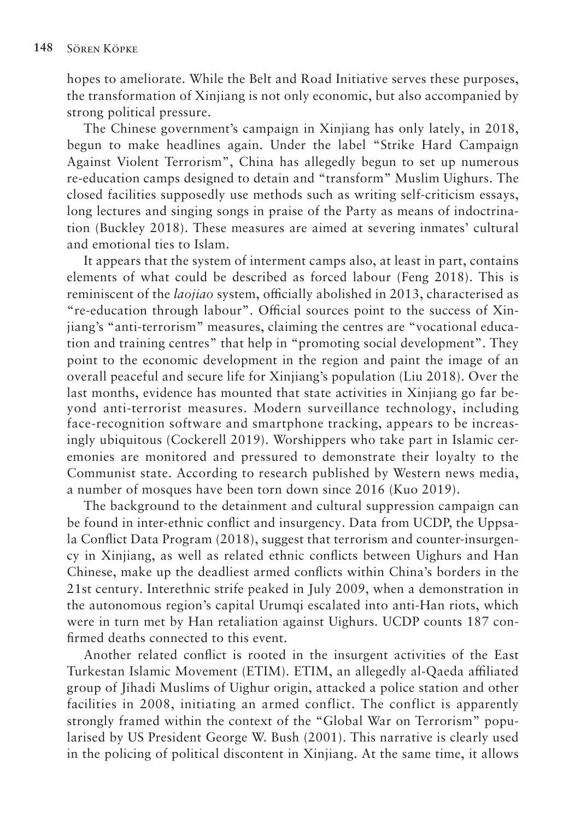hopes to ameliorate. While the Belt and Road Initiative serves these purposes, the transformation of Xinjiang is not only economic, but also accompanied by strong political pressure.

The Chinese government's campaign in Xinjiang has only lately, in 2018, begun to make headlines again. Under the label "Strike Hard Campaign Against Violent Terrorism", China has allegedly begun to set up numerous re-education camps designed to detain and "transform" Muslim Uighurs. The closed facilities supposedly use methods such as writing self-criticism essays, long lectures and singing songs in praise of the Party as means of indoctrination (Buckley 2018). These measures are aimed at severing inmates' cultural and emotional ties to Islam.

It appears that the system of interment camps also, at least in part, contains elements of what could be described as forced labour (Feng 2018). This is reminiscent of the *laojiao* system, officially abolished in 2013, characterised as "re-education through labour". Official sources point to the success of Xinjiang's "anti-terrorism" measures, claiming the centres are "vocational education and training centres" that help in "promoting social development". They point to the economic development in the region and paint the image of an overall peaceful and secure life for Xinjiang's population (Liu 2018). Over the last months, evidence has mounted that state activities in Xinjiang go far beyond anti-terrorist measures. Modern surveillance technology, including face-recognition software and smartphone tracking, appears to be increasingly ubiquitous (Cockerell 2019). Worshippers who take part in Islamic ceremonies are monitored and pressured to demonstrate their loyalty to the Communist state. According to research published by Western news media, a number of mosques have been torn down since 2016 (Kuo 2019).

The background to the detainment and cultural suppression campaign can be found in inter-ethnic conflict and insurgency. Data from UCDP, the Uppsala Conflict Data Program (2018), suggest that terrorism and counter-insurgency in Xinjiang, as well as related ethnic conflicts between Uighurs and Han Chinese, make up the deadliest armed conflicts within China's borders in the 21st century. Interethnic strife peaked in July 2009, when a demonstration in the autonomous region's capital Urumqi escalated into anti-Han riots, which were in turn met by Han retaliation against Uighurs. UCDP counts 187 confirmed deaths connected to this event.

Another related conflict is rooted in the insurgent activities of the East Turkestan Islamic Movement (ETIM). ETIM, an allegedly al-Qaeda affiliated group of Jihadi Muslims of Uighur origin, attacked a police station and other facilities in 2008, initiating an armed conflict. The conflict is apparently strongly framed within the context of the "Global War on Terrorism" popularised by US President George W. Bush (2001). This narrative is clearly used in the policing of political discontent in Xinjiang. At the same time, it allows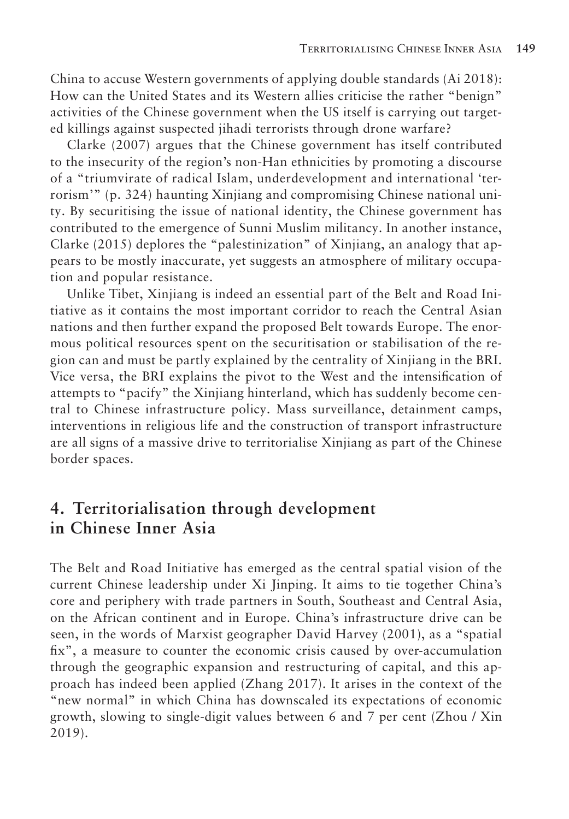China to accuse Western governments of applying double standards (Ai 2018): How can the United States and its Western allies criticise the rather "benign" activities of the Chinese government when the US itself is carrying out targeted killings against suspected jihadi terrorists through drone warfare?

Clarke (2007) argues that the Chinese government has itself contributed to the insecurity of the region's non-Han ethnicities by promoting a discourse of a "triumvirate of radical Islam, underdevelopment and international 'terrorism'" (p. 324) haunting Xinjiang and compromising Chinese national unity. By securitising the issue of national identity, the Chinese government has contributed to the emergence of Sunni Muslim militancy. In another instance, Clarke (2015) deplores the "palestinization" of Xinjiang, an analogy that appears to be mostly inaccurate, yet suggests an atmosphere of military occupation and popular resistance.

Unlike Tibet, Xinjiang is indeed an essential part of the Belt and Road Initiative as it contains the most important corridor to reach the Central Asian nations and then further expand the proposed Belt towards Europe. The enormous political resources spent on the securitisation or stabilisation of the region can and must be partly explained by the centrality of Xinjiang in the BRI. Vice versa, the BRI explains the pivot to the West and the intensification of attempts to "pacify" the Xinjiang hinterland, which has suddenly become central to Chinese infrastructure policy. Mass surveillance, detainment camps, interventions in religious life and the construction of transport infrastructure are all signs of a massive drive to territorialise Xinjiang as part of the Chinese border spaces.

## **4. Territorialisation through development in Chinese Inner Asia**

The Belt and Road Initiative has emerged as the central spatial vision of the current Chinese leadership under Xi Jinping. It aims to tie together China's core and periphery with trade partners in South, Southeast and Central Asia, on the African continent and in Europe. China's infrastructure drive can be seen, in the words of Marxist geographer David Harvey (2001), as a "spatial fix", a measure to counter the economic crisis caused by over-accumulation through the geographic expansion and restructuring of capital, and this approach has indeed been applied (Zhang 2017). It arises in the context of the "new normal" in which China has downscaled its expectations of economic growth, slowing to single-digit values between 6 and 7 per cent (Zhou / Xin 2019).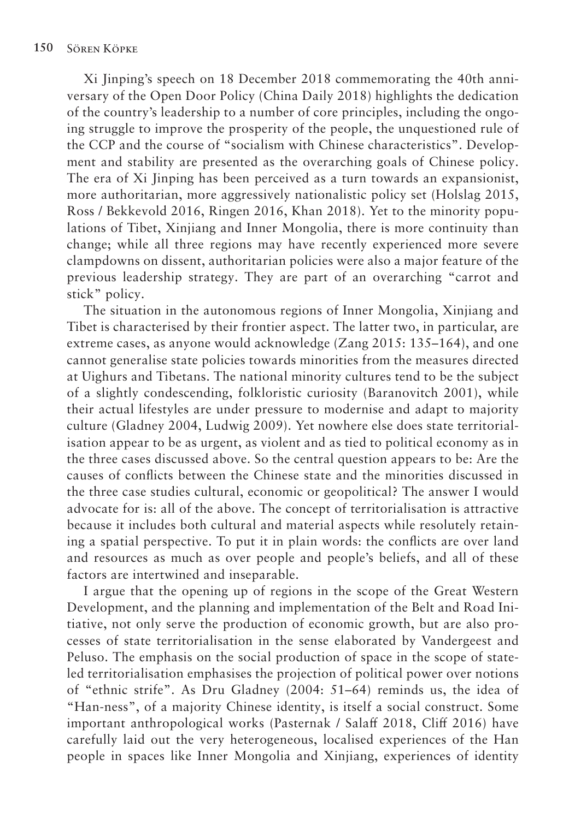Xi Jinping's speech on 18 December 2018 commemorating the 40th anniversary of the Open Door Policy (China Daily 2018) highlights the dedication of the country's leadership to a number of core principles, including the ongoing struggle to improve the prosperity of the people, the unquestioned rule of the CCP and the course of "socialism with Chinese characteristics". Development and stability are presented as the overarching goals of Chinese policy. The era of Xi Jinping has been perceived as a turn towards an expansionist, more authoritarian, more aggressively nationalistic policy set (Holslag 2015, Ross / Bekkevold 2016, Ringen 2016, Khan 2018). Yet to the minority populations of Tibet, Xinjiang and Inner Mongolia, there is more continuity than change; while all three regions may have recently experienced more severe clampdowns on dissent, authoritarian policies were also a major feature of the previous leadership strategy. They are part of an overarching "carrot and stick" policy.

The situation in the autonomous regions of Inner Mongolia, Xinjiang and Tibet is characterised by their frontier aspect. The latter two, in particular, are extreme cases, as anyone would acknowledge (Zang 2015: 135–164), and one cannot generalise state policies towards minorities from the measures directed at Uighurs and Tibetans. The national minority cultures tend to be the subject of a slightly condescending, folkloristic curiosity (Baranovitch 2001), while their actual lifestyles are under pressure to modernise and adapt to majority culture (Gladney 2004, Ludwig 2009). Yet nowhere else does state territorialisation appear to be as urgent, as violent and as tied to political economy as in the three cases discussed above. So the central question appears to be: Are the causes of conflicts between the Chinese state and the minorities discussed in the three case studies cultural, economic or geopolitical? The answer I would advocate for is: all of the above. The concept of territorialisation is attractive because it includes both cultural and material aspects while resolutely retaining a spatial perspective. To put it in plain words: the conflicts are over land and resources as much as over people and people's beliefs, and all of these factors are intertwined and inseparable.

I argue that the opening up of regions in the scope of the Great Western Development, and the planning and implementation of the Belt and Road Initiative, not only serve the production of economic growth, but are also processes of state territorialisation in the sense elaborated by Vandergeest and Peluso. The emphasis on the social production of space in the scope of stateled territorialisation emphasises the projection of political power over notions of "ethnic strife". As Dru Gladney (2004: 51–64) reminds us, the idea of "Han-ness", of a majority Chinese identity, is itself a social construct. Some important anthropological works (Pasternak / Salaff 2018, Cliff 2016) have carefully laid out the very heterogeneous, localised experiences of the Han people in spaces like Inner Mongolia and Xinjiang, experiences of identity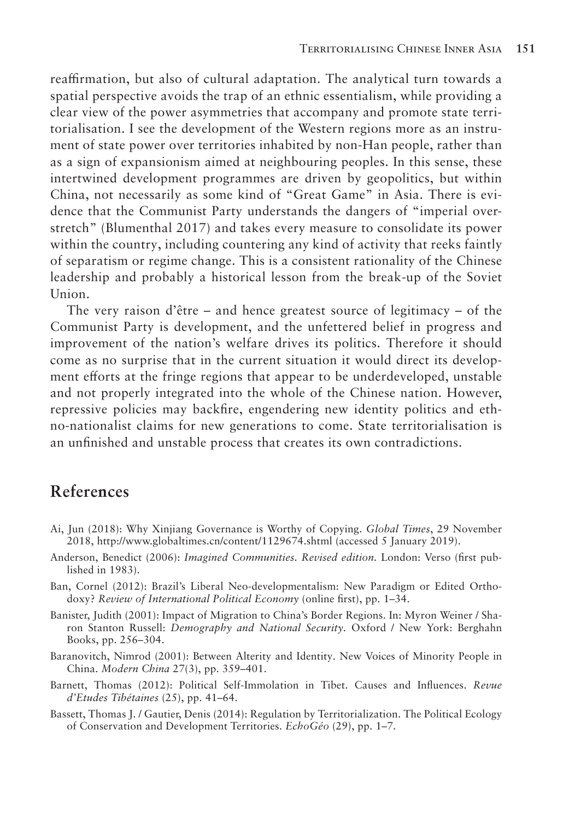reaffirmation, but also of cultural adaptation. The analytical turn towards a spatial perspective avoids the trap of an ethnic essentialism, while providing a clear view of the power asymmetries that accompany and promote state territorialisation. I see the development of the Western regions more as an instrument of state power over territories inhabited by non-Han people, rather than as a sign of expansionism aimed at neighbouring peoples. In this sense, these intertwined development programmes are driven by geopolitics, but within China, not necessarily as some kind of "Great Game" in Asia. There is evidence that the Communist Party understands the dangers of "imperial overstretch" (Blumenthal 2017) and takes every measure to consolidate its power within the country, including countering any kind of activity that reeks faintly of separatism or regime change. This is a consistent rationality of the Chinese leadership and probably a historical lesson from the break-up of the Soviet Union.

The very raison d'être – and hence greatest source of legitimacy – of the Communist Party is development, and the unfettered belief in progress and improvement of the nation's welfare drives its politics. Therefore it should come as no surprise that in the current situation it would direct its development efforts at the fringe regions that appear to be underdeveloped, unstable and not properly integrated into the whole of the Chinese nation. However, repressive policies may backfire, engendering new identity politics and ethno-nationalist claims for new generations to come. State territorialisation is an unfinished and unstable process that creates its own contradictions.

#### **References**

- Ai, Jun (2018): Why Xinjiang Governance is Worthy of Copying. *Global Times*, 29 November 2018, http://www.globaltimes.cn/content/1129674.shtml (accessed 5 January 2019).
- Anderson, Benedict (2006): *Imagined Communities. Revised edition.* London: Verso (first published in 1983).
- Ban, Cornel (2012): Brazil's Liberal Neo-developmentalism: New Paradigm or Edited Orthodoxy? *Review of International Political Economy* (online first), pp. 1–34.
- Banister, Judith (2001): Impact of Migration to China's Border Regions. In: Myron Weiner / Sharon Stanton Russell: *Demography and National Security.* Oxford / New York: Berghahn Books, pp. 256–304.
- Baranovitch, Nimrod (2001): Between Alterity and Identity. New Voices of Minority People in China. *Modern China* 27(3), pp. 359–401.
- Barnett, Thomas (2012): Political Self-Immolation in Tibet. Causes and Influences. *Revue d'Etudes Tibétaines* (25), pp. 41–64.
- Bassett, Thomas J. / Gautier, Denis (2014): Regulation by Territorialization. The Political Ecology of Conservation and Development Territories. *EchoGéo* (29), pp. 1–7.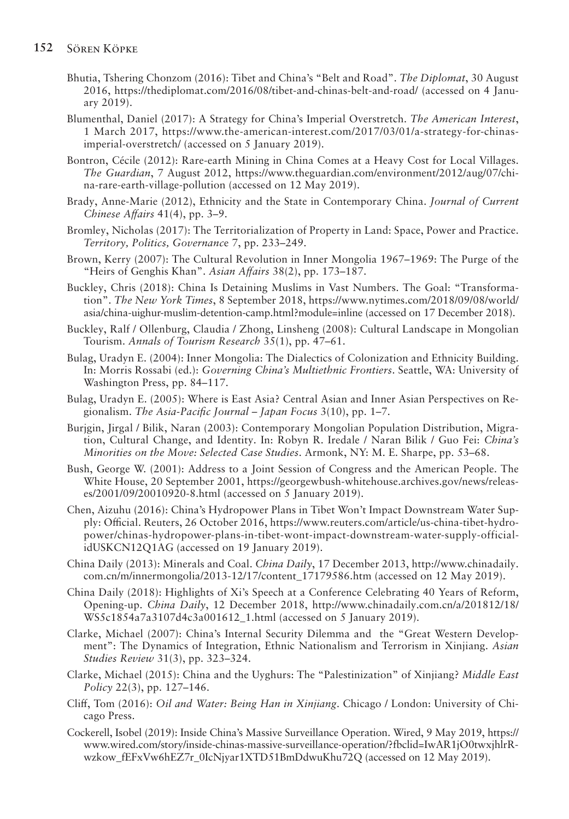- Bhutia, Tshering Chonzom (2016): Tibet and China's "Belt and Road". *The Diplomat*, 30 August 2016, https://thediplomat.com/2016/08/tibet-and-chinas-belt-and-road/ (accessed on 4 January 2019).
- Blumenthal, Daniel (2017): A Strategy for China's Imperial Overstretch. *The American Interest*, 1 March 2017, https://www.the-american-interest.com/2017/03/01/a-strategy-for-chinasimperial-overstretch/ (accessed on 5 January 2019).
- Bontron, Cécile (2012): Rare-earth Mining in China Comes at a Heavy Cost for Local Villages. *The Guardian*, 7 August 2012, https://www.theguardian.com/environment/2012/aug/07/china-rare-earth-village-pollution (accessed on 12 May 2019).
- Brady, Anne-Marie (2012), Ethnicity and the State in Contemporary China. *Journal of Current Chinese Affairs* 41(4), pp. 3-9.
- Bromley, Nicholas (2017): The Territorialization of Property in Land: Space, Power and Practice. *Territory, Politics, Governanc*e 7, pp. 233–249.
- Brown, Kerry (2007): The Cultural Revolution in Inner Mongolia 1967–1969: The Purge of the "Heirs of Genghis Khan". *Asian Affairs* 38(2), pp. 173–187.
- Buckley, Chris (2018): China Is Detaining Muslims in Vast Numbers. The Goal: "Transformation". *The New York Times*, 8 September 2018, https://www.nytimes.com/2018/09/08/world/ asia/china-uighur-muslim-detention-camp.html?module=inline (accessed on 17 December 2018).
- Buckley, Ralf / Ollenburg, Claudia / Zhong, Linsheng (2008): Cultural Landscape in Mongolian Tourism. *Annals of Tourism Research* 35(1), pp. 47–61.
- Bulag, Uradyn E. (2004): Inner Mongolia: The Dialectics of Colonization and Ethnicity Building. In: Morris Rossabi (ed.): *Governing China's Multiethnic Frontiers*. Seattle, WA: University of Washington Press, pp. 84–117.
- Bulag, Uradyn E. (2005): Where is East Asia? Central Asian and Inner Asian Perspectives on Regionalism. *The Asia-Pacific Journal – Japan Focus* 3(10), pp. 1–7.
- Burjgin, Jirgal / Bilik, Naran (2003): Contemporary Mongolian Population Distribution, Migration, Cultural Change, and Identity. In: Robyn R. Iredale / Naran Bilik / Guo Fei: *China's Minorities on the Move: Selected Case Studies*. Armonk, NY: M. E. Sharpe, pp. 53–68.
- Bush, George W. (2001): Address to a Joint Session of Congress and the American People. The White House, 20 September 2001, https://georgewbush-whitehouse.archives.gov/news/releases/2001/09/20010920-8.html (accessed on 5 January 2019).
- Chen, Aizuhu (2016): China's Hydropower Plans in Tibet Won't Impact Downstream Water Supply: Official. Reuters, 26 October 2016, https://www.reuters.com/article/us-china-tibet-hydropower/chinas-hydropower-plans-in-tibet-wont-impact-downstream-water-supply-officialidUSKCN12Q1AG (accessed on 19 January 2019).
- China Daily (2013): Minerals and Coal. *China Daily*, 17 December 2013, http://www.chinadaily. com.cn/m/innermongolia/2013-12/17/content\_17179586.htm (accessed on 12 May 2019).
- China Daily (2018): Highlights of Xi's Speech at a Conference Celebrating 40 Years of Reform, Opening-up. *China Daily*, 12 December 2018, http://www.chinadaily.com.cn/a/201812/18/ WS5c1854a7a3107d4c3a001612\_1.html (accessed on 5 January 2019).
- Clarke, Michael (2007): China's Internal Security Dilemma and the "Great Western Development": The Dynamics of Integration, Ethnic Nationalism and Terrorism in Xinjiang. *Asian Studies Review* 31(3), pp. 323–324.
- Clarke, Michael (2015): China and the Uyghurs: The "Palestinization" of Xinjiang? *Middle East Policy* 22(3), pp. 127–146.
- Cliff, Tom (2016): *Oil and Water: Being Han in Xinjiang*. Chicago / London: University of Chicago Press.
- Cockerell, Isobel (2019): Inside China's Massive Surveillance Operation. Wired, 9 May 2019, https:// www.wired.com/story/inside-chinas-massive-surveillance-operation/?fbclid=IwAR1jO0twxjhlrRwzkow\_fEFxVw6hEZ7r\_0IcNjyar1XTD51BmDdwuKhu72Q (accessed on 12 May 2019).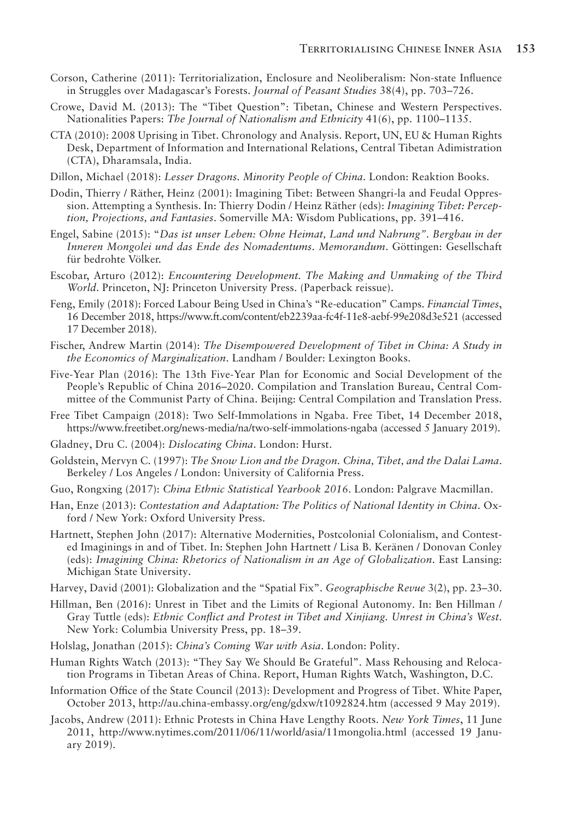- Corson, Catherine (2011): Territorialization, Enclosure and Neoliberalism: Non-state Influence in Struggles over Madagascar's Forests. *Journal of Peasant Studies* 38(4), pp. 703–726.
- Crowe, David M. (2013): The "Tibet Question": Tibetan, Chinese and Western Perspectives. Nationalities Papers: *The Journal of Nationalism and Ethnicity* 41(6), pp. 1100–1135.
- CTA (2010): 2008 Uprising in Tibet. Chronology and Analysis. Report, UN, EU & Human Rights Desk, Department of Information and International Relations, Central Tibetan Adimistration (CTA), Dharamsala, India.
- Dillon, Michael (2018): *Lesser Dragons. Minority People of China*. London: Reaktion Books.
- Dodin, Thierry / Räther, Heinz (2001): Imagining Tibet: Between Shangri-la and Feudal Oppression. Attempting a Synthesis. In: Thierry Dodin / Heinz Räther (eds): *Imagining Tibet: Perception, Projections, and Fantasies*. Somerville MA: Wisdom Publications, pp. 391–416.
- Engel, Sabine (2015): "*Das ist unser Leben: Ohne Heimat, Land und Nahrung". Bergbau in der Inneren Mongolei und das Ende des Nomadentums. Memorandum*. Göttingen: Gesellschaft für bedrohte Völker.
- Escobar, Arturo (2012): *Encountering Development. The Making and Unmaking of the Third World*. Princeton, NJ: Princeton University Press. (Paperback reissue).
- Feng, Emily (2018): Forced Labour Being Used in China's "Re-education" Camps. *Financial Times*, 16 December 2018, https://www.ft.com/content/eb2239aa-fc4f-11e8-aebf-99e208d3e521 (accessed 17 December 2018).
- Fischer, Andrew Martin (2014): *The Disempowered Development of Tibet in China: A Study in the Economics of Marginalization*. Landham / Boulder: Lexington Books.
- Five-Year Plan (2016): The 13th Five-Year Plan for Economic and Social Development of the People's Republic of China 2016–2020. Compilation and Translation Bureau, Central Committee of the Communist Party of China. Beijing: Central Compilation and Translation Press.
- Free Tibet Campaign (2018): Two Self-Immolations in Ngaba. Free Tibet, 14 December 2018, https://www.freetibet.org/news-media/na/two-self-immolations-ngaba (accessed 5 January 2019).
- Gladney, Dru C. (2004): *Dislocating China*. London: Hurst.
- Goldstein, Mervyn C. (1997): *The Snow Lion and the Dragon. China, Tibet, and the Dalai Lama*. Berkeley / Los Angeles / London: University of California Press.
- Guo, Rongxing (2017): *China Ethnic Statistical Yearbook 2016*. London: Palgrave Macmillan.
- Han, Enze (2013): *Contestation and Adaptation: The Politics of National Identity in China*. Oxford / New York: Oxford University Press.
- Hartnett, Stephen John (2017): Alternative Modernities, Postcolonial Colonialism, and Contested Imaginings in and of Tibet. In: Stephen John Hartnett / Lisa B. Keränen / Donovan Conley (eds): *Imagining China: Rhetorics of Nationalism in an Age of Globalization*. East Lansing: Michigan State University.
- Harvey, David (2001): Globalization and the "Spatial Fix". *Geographische Revue* 3(2), pp. 23–30.
- Hillman, Ben (2016): Unrest in Tibet and the Limits of Regional Autonomy. In: Ben Hillman / Gray Tuttle (eds): *Ethnic Conflict and Protest in Tibet and Xinjiang. Unrest in China's West*. New York: Columbia University Press, pp. 18–39.
- Holslag, Jonathan (2015): *China's Coming War with Asia*. London: Polity.
- Human Rights Watch (2013): "They Say We Should Be Grateful". Mass Rehousing and Relocation Programs in Tibetan Areas of China. Report, Human Rights Watch, Washington, D.C.
- Information Office of the State Council (2013): Development and Progress of Tibet. White Paper, October 2013, http://au.china-embassy.org/eng/gdxw/t1092824.htm (accessed 9 May 2019).
- Jacobs, Andrew (2011): Ethnic Protests in China Have Lengthy Roots. *New York Times*, 11 June 2011, http://www.nytimes.com/2011/06/11/world/asia/11mongolia.html (accessed 19 January 2019).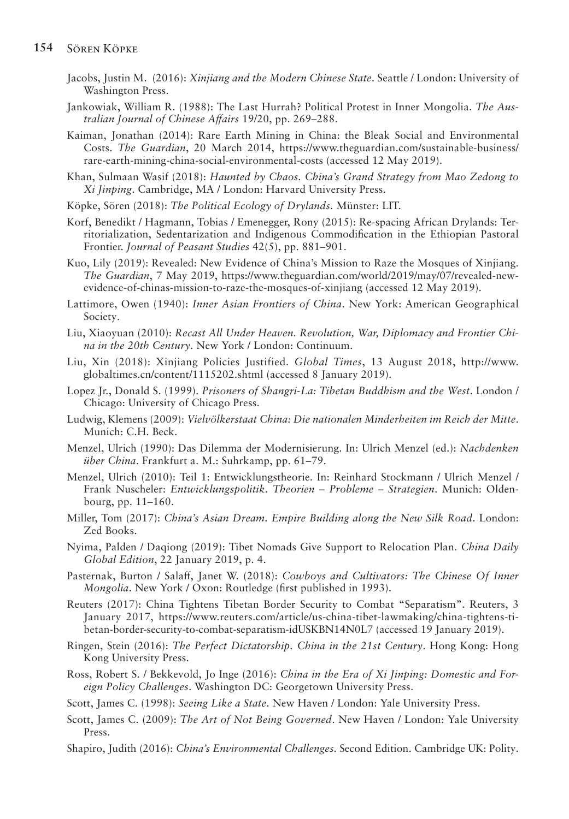- Jacobs, Justin M. (2016): *Xinjiang and the Modern Chinese State*. Seattle / London: University of Washington Press.
- Jankowiak, William R. (1988): The Last Hurrah? Political Protest in Inner Mongolia. *The Australian Journal of Chinese Affairs* 19/20, pp. 269–288.
- Kaiman, Jonathan (2014): Rare Earth Mining in China: the Bleak Social and Environmental Costs. *The Guardian*, 20 March 2014, https://www.theguardian.com/sustainable-business/ rare-earth-mining-china-social-environmental-costs (accessed 12 May 2019).
- Khan, Sulmaan Wasif (2018): *Haunted by Chaos. China's Grand Strategy from Mao Zedong to Xi Jinping*. Cambridge, MA / London: Harvard University Press.
- Köpke, Sören (2018): *The Political Ecology of Drylands*. Münster: LIT.
- Korf, Benedikt / Hagmann, Tobias / Emenegger, Rony (2015): Re-spacing African Drylands: Territorialization, Sedentarization and Indigenous Commodification in the Ethiopian Pastoral Frontier. *Journal of Peasant Studies* 42(5), pp. 881–901.
- Kuo, Lily (2019): Revealed: New Evidence of China's Mission to Raze the Mosques of Xinjiang. *The Guardian*, 7 May 2019, https://www.theguardian.com/world/2019/may/07/revealed-newevidence-of-chinas-mission-to-raze-the-mosques-of-xinjiang (accessed 12 May 2019).
- Lattimore, Owen (1940): *Inner Asian Frontiers of China*. New York: American Geographical Society.
- Liu, Xiaoyuan (2010): *Recast All Under Heaven. Revolution, War, Diplomacy and Frontier China in the 20th Century*. New York / London: Continuum.
- Liu, Xin (2018): Xinjiang Policies Justified. *Global Times*, 13 August 2018, http://www. globaltimes.cn/content/1115202.shtml (accessed 8 January 2019).
- Lopez Jr., Donald S. (1999). *Prisoners of Shangri-La: Tibetan Buddhism and the West*. London / Chicago: University of Chicago Press.
- Ludwig, Klemens (2009): *Vielvölkerstaat China: Die nationalen Minderheiten im Reich der Mitte*. Munich: C.H. Beck.
- Menzel, Ulrich (1990): Das Dilemma der Modernisierung. In: Ulrich Menzel (ed.): *Nachdenken über China*. Frankfurt a. M.: Suhrkamp, pp. 61–79.
- Menzel, Ulrich (2010): Teil 1: Entwicklungstheorie. In: Reinhard Stockmann / Ulrich Menzel / Frank Nuscheler: *Entwicklungspolitik. Theorien – Probleme – Strategien*. Munich: Oldenbourg, pp. 11–160.
- Miller, Tom (2017): *China's Asian Dream. Empire Building along the New Silk Road*. London: Zed Books.
- Nyima, Palden / Daqiong (2019): Tibet Nomads Give Support to Relocation Plan. *China Daily Global Edition*, 22 January 2019, p. 4.
- Pasternak, Burton / Salaff, Janet W. (2018): *Cowboys and Cultivators: The Chinese Of Inner Mongolia*. New York / Oxon: Routledge (first published in 1993).
- Reuters (2017): China Tightens Tibetan Border Security to Combat "Separatism". Reuters, 3 January 2017, https://www.reuters.com/article/us-china-tibet-lawmaking/china-tightens-tibetan-border-security-to-combat-separatism-idUSKBN14N0L7 (accessed 19 January 2019).
- Ringen, Stein (2016): *The Perfect Dictatorship. China in the 21st Century*. Hong Kong: Hong Kong University Press.
- Ross, Robert S. / Bekkevold, Jo Inge (2016): *China in the Era of Xi Jinping: Domestic and Foreign Policy Challenges*. Washington DC: Georgetown University Press.
- Scott, James C. (1998): *Seeing Like a State*. New Haven / London: Yale University Press.
- Scott, James C. (2009): *The Art of Not Being Governed*. New Haven / London: Yale University Press.
- Shapiro, Judith (2016): *China's Environmental Challenges*. Second Edition. Cambridge UK: Polity.